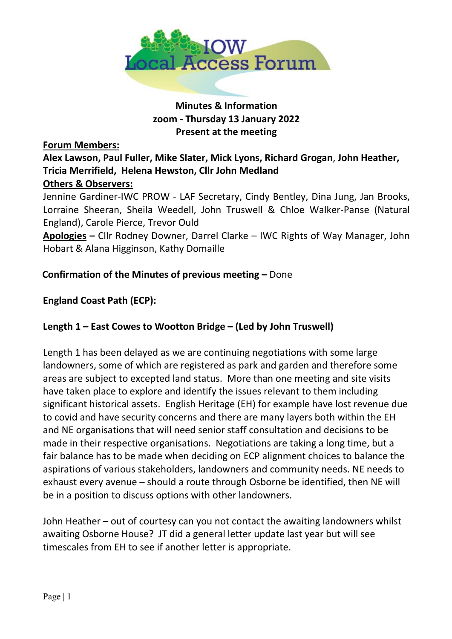

# **Minutes & Information zoom - Thursday 13 January 2022 Present at the meeting**

#### **Forum Members:**

# **Alex Lawson, Paul Fuller, Mike Slater, Mick Lyons, Richard Grogan**, **John Heather, Tricia Merrifield, Helena Hewston, Cllr John Medland**

# **Others & Observers:**

Jennine Gardiner-IWC PROW - LAF Secretary, Cindy Bentley, Dina Jung, Jan Brooks, Lorraine Sheeran, Sheila Weedell, John Truswell & Chloe Walker-Panse (Natural England), Carole Pierce, Trevor Ould

**Apologies –** Cllr Rodney Downer, Darrel Clarke – IWC Rights of Way Manager, John Hobart & Alana Higginson, Kathy Domaille

#### **Confirmation of the Minutes of previous meeting –** Done

#### **England Coast Path (ECP):**

#### **Length 1 – East Cowes to Wootton Bridge – (Led by John Truswell)**

Length 1 has been delayed as we are continuing negotiations with some large landowners, some of which are registered as park and garden and therefore some areas are subject to excepted land status. More than one meeting and site visits have taken place to explore and identify the issues relevant to them including significant historical assets. English Heritage (EH) for example have lost revenue due to covid and have security concerns and there are many layers both within the EH and NE organisations that will need senior staff consultation and decisions to be made in their respective organisations. Negotiations are taking a long time, but a fair balance has to be made when deciding on ECP alignment choices to balance the aspirations of various stakeholders, landowners and community needs. NE needs to exhaust every avenue – should a route through Osborne be identified, then NE will be in a position to discuss options with other landowners.

John Heather – out of courtesy can you not contact the awaiting landowners whilst awaiting Osborne House? JT did a general letter update last year but will see timescales from EH to see if another letter is appropriate.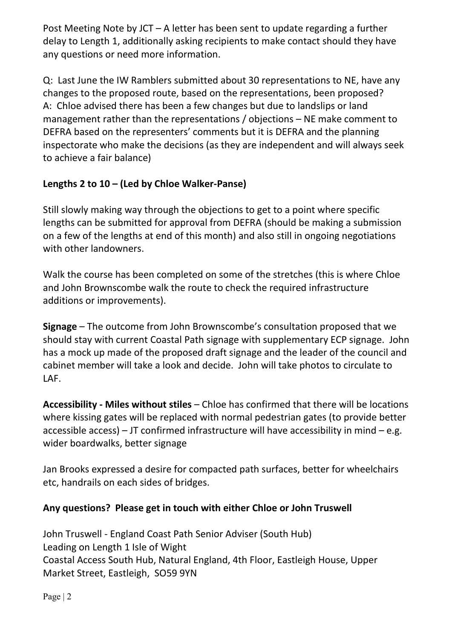Post Meeting Note by JCT – A letter has been sent to update regarding a further delay to Length 1, additionally asking recipients to make contact should they have any questions or need more information.

Q: Last June the IW Ramblers submitted about 30 representations to NE, have any changes to the proposed route, based on the representations, been proposed? A: Chloe advised there has been a few changes but due to landslips or land management rather than the representations / objections – NE make comment to DEFRA based on the representers' comments but it is DEFRA and the planning inspectorate who make the decisions (as they are independent and will always seek to achieve a fair balance)

# **Lengths 2 to 10 – (Led by Chloe Walker-Panse)**

Still slowly making way through the objections to get to a point where specific lengths can be submitted for approval from DEFRA (should be making a submission on a few of the lengths at end of this month) and also still in ongoing negotiations with other landowners.

Walk the course has been completed on some of the stretches (this is where Chloe and John Brownscombe walk the route to check the required infrastructure additions or improvements).

**Signage** – The outcome from John Brownscombe's consultation proposed that we should stay with current Coastal Path signage with supplementary ECP signage. John has a mock up made of the proposed draft signage and the leader of the council and cabinet member will take a look and decide. John will take photos to circulate to LAF.

**Accessibility - Miles without stiles** – Chloe has confirmed that there will be locations where kissing gates will be replaced with normal pedestrian gates (to provide better accessible access) – JT confirmed infrastructure will have accessibility in mind – e.g. wider boardwalks, better signage

Jan Brooks expressed a desire for compacted path surfaces, better for wheelchairs etc, handrails on each sides of bridges.

# **Any questions? Please get in touch with either Chloe or John Truswell**

John Truswell - England Coast Path Senior Adviser (South Hub) Leading on Length 1 Isle of Wight Coastal Access South Hub, Natural England, 4th Floor, Eastleigh House, Upper Market Street, Eastleigh, SO59 9YN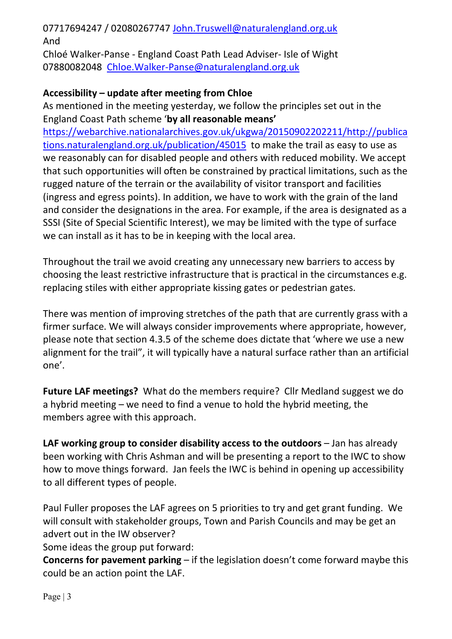# 07717694247 / 02080267747 [John.Truswell@naturalengland.org.uk](mailto:John.Truswell@naturalengland.org.uk)  And

Chloé Walker-Panse - England Coast Path Lead Adviser- Isle of Wight 07880082048 [Chloe.Walker-Panse@naturalengland.org.uk](mailto:Chloe.Walker-Panse@naturalengland.org.uk) 

## **Accessibility – update after meeting from Chloe**

As mentioned in the meeting yesterday, we follow the principles set out in the England Coast Path scheme '**by all reasonable means'**

[https://webarchive.nationalarchives.gov.uk/ukgwa/20150902202211/http://publica](https://webarchive.nationalarchives.gov.uk/ukgwa/20150902202211/http:/publications.naturalengland.org.uk/publication/45015) [tions.naturalengland.org.uk/publication/45015](https://webarchive.nationalarchives.gov.uk/ukgwa/20150902202211/http:/publications.naturalengland.org.uk/publication/45015) to make the trail as easy to use as we reasonably can for disabled people and others with reduced mobility. We accept that such opportunities will often be constrained by practical limitations, such as the rugged nature of the terrain or the availability of visitor transport and facilities (ingress and egress points). In addition, we have to work with the grain of the land and consider the designations in the area. For example, if the area is designated as a SSSI (Site of Special Scientific Interest), we may be limited with the type of surface we can install as it has to be in keeping with the local area.

Throughout the trail we avoid creating any unnecessary new barriers to access by choosing the least restrictive infrastructure that is practical in the circumstances e.g. replacing stiles with either appropriate kissing gates or pedestrian gates.

There was mention of improving stretches of the path that are currently grass with a firmer surface. We will always consider improvements where appropriate, however, please note that section 4.3.5 of the scheme does dictate that 'where we use a new alignment for the trail", it will typically have a natural surface rather than an artificial one'.

**Future LAF meetings?** What do the members require? Cllr Medland suggest we do a hybrid meeting – we need to find a venue to hold the hybrid meeting, the members agree with this approach.

**LAF working group to consider disability access to the outdoors** – Jan has already been working with Chris Ashman and will be presenting a report to the IWC to show how to move things forward. Jan feels the IWC is behind in opening up accessibility to all different types of people.

Paul Fuller proposes the LAF agrees on 5 priorities to try and get grant funding. We will consult with stakeholder groups, Town and Parish Councils and may be get an advert out in the IW observer?

Some ideas the group put forward:

**Concerns for pavement parking** – if the legislation doesn't come forward maybe this could be an action point the LAF.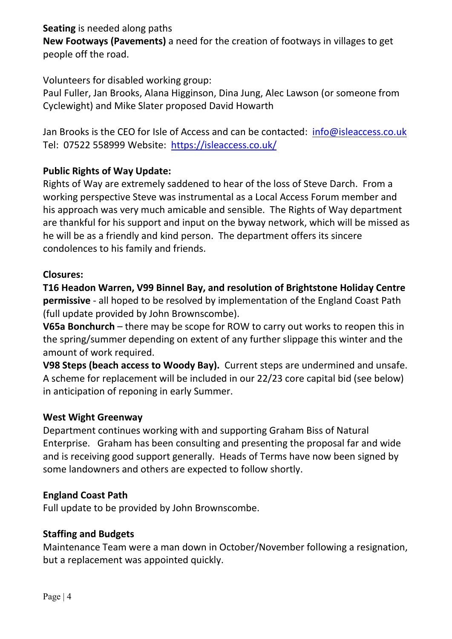**Seating** is needed along paths

**New Footways (Pavements)** a need for the creation of footways in villages to get people off the road.

Volunteers for disabled working group:

Paul Fuller, Jan Brooks, Alana Higginson, Dina Jung, Alec Lawson (or someone from Cyclewight) and Mike Slater proposed David Howarth

Jan Brooks is the CEO for Isle of Access and can be contacted: info@isleaccess.co.uk Tel: 07522 558999 Website: <https://isleaccess.co.uk/>

# **Public Rights of Way Update:**

Rights of Way are extremely saddened to hear of the loss of Steve Darch. From a working perspective Steve was instrumental as a Local Access Forum member and his approach was very much amicable and sensible. The Rights of Way department are thankful for his support and input on the byway network, which will be missed as he will be as a friendly and kind person. The department offers its sincere condolences to his family and friends.

### **Closures:**

**T16 Headon Warren, V99 Binnel Bay, and resolution of Brightstone Holiday Centre permissive** - all hoped to be resolved by implementation of the England Coast Path (full update provided by John Brownscombe).

**V65a Bonchurch** – there may be scope for ROW to carry out works to reopen this in the spring/summer depending on extent of any further slippage this winter and the amount of work required.

**V98 Steps (beach access to Woody Bay).** Current steps are undermined and unsafe. A scheme for replacement will be included in our 22/23 core capital bid (see below) in anticipation of reponing in early Summer.

### **West Wight Greenway**

Department continues working with and supporting Graham Biss of Natural Enterprise. Graham has been consulting and presenting the proposal far and wide and is receiving good support generally. Heads of Terms have now been signed by some landowners and others are expected to follow shortly.

### **England Coast Path**

Full update to be provided by John Brownscombe.

### **Staffing and Budgets**

Maintenance Team were a man down in October/November following a resignation, but a replacement was appointed quickly.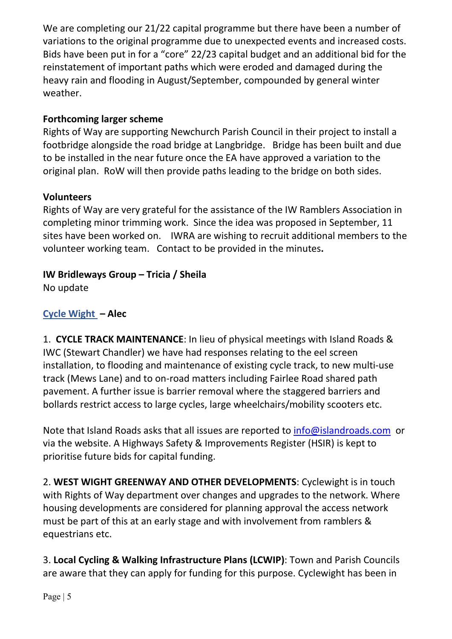We are completing our 21/22 capital programme but there have been a number of variations to the original programme due to unexpected events and increased costs. Bids have been put in for a "core" 22/23 capital budget and an additional bid for the reinstatement of important paths which were eroded and damaged during the heavy rain and flooding in August/September, compounded by general winter weather.

# **Forthcoming larger scheme**

Rights of Way are supporting Newchurch Parish Council in their project to install a footbridge alongside the road bridge at Langbridge. Bridge has been built and due to be installed in the near future once the EA have approved a variation to the original plan. RoW will then provide paths leading to the bridge on both sides.

### **Volunteers**

Rights of Way are very grateful for the assistance of the IW Ramblers Association in completing minor trimming work. Since the idea was proposed in September, 11 sites have been worked on. IWRA are wishing to recruit additional members to the volunteer working team. Contact to be provided in the minutes**.**

# **IW Bridleways Group – Tricia / Sheila**

No update

# **[Cycle Wight](https://www.cyclewight.org.uk/) – Alec**

1. **CYCLE TRACK MAINTENANCE**: In lieu of physical meetings with Island Roads & IWC (Stewart Chandler) we have had responses relating to the eel screen installation, to flooding and maintenance of existing cycle track, to new multi-use track (Mews Lane) and to on-road matters including Fairlee Road shared path pavement. A further issue is barrier removal where the staggered barriers and bollards restrict access to large cycles, large wheelchairs/mobility scooters etc.

Note that Island Roads asks that all issues are reported to [info@islandroads.com](mailto:info@islandroads.com) or via the website. A Highways Safety & Improvements Register (HSIR) is kept to prioritise future bids for capital funding.

2. **WEST WIGHT GREENWAY AND OTHER DEVELOPMENTS**: Cyclewight is in touch with Rights of Way department over changes and upgrades to the network. Where housing developments are considered for planning approval the access network must be part of this at an early stage and with involvement from ramblers & equestrians etc.

3. **Local Cycling & Walking Infrastructure Plans (LCWIP)**: Town and Parish Councils are aware that they can apply for funding for this purpose. Cyclewight has been in